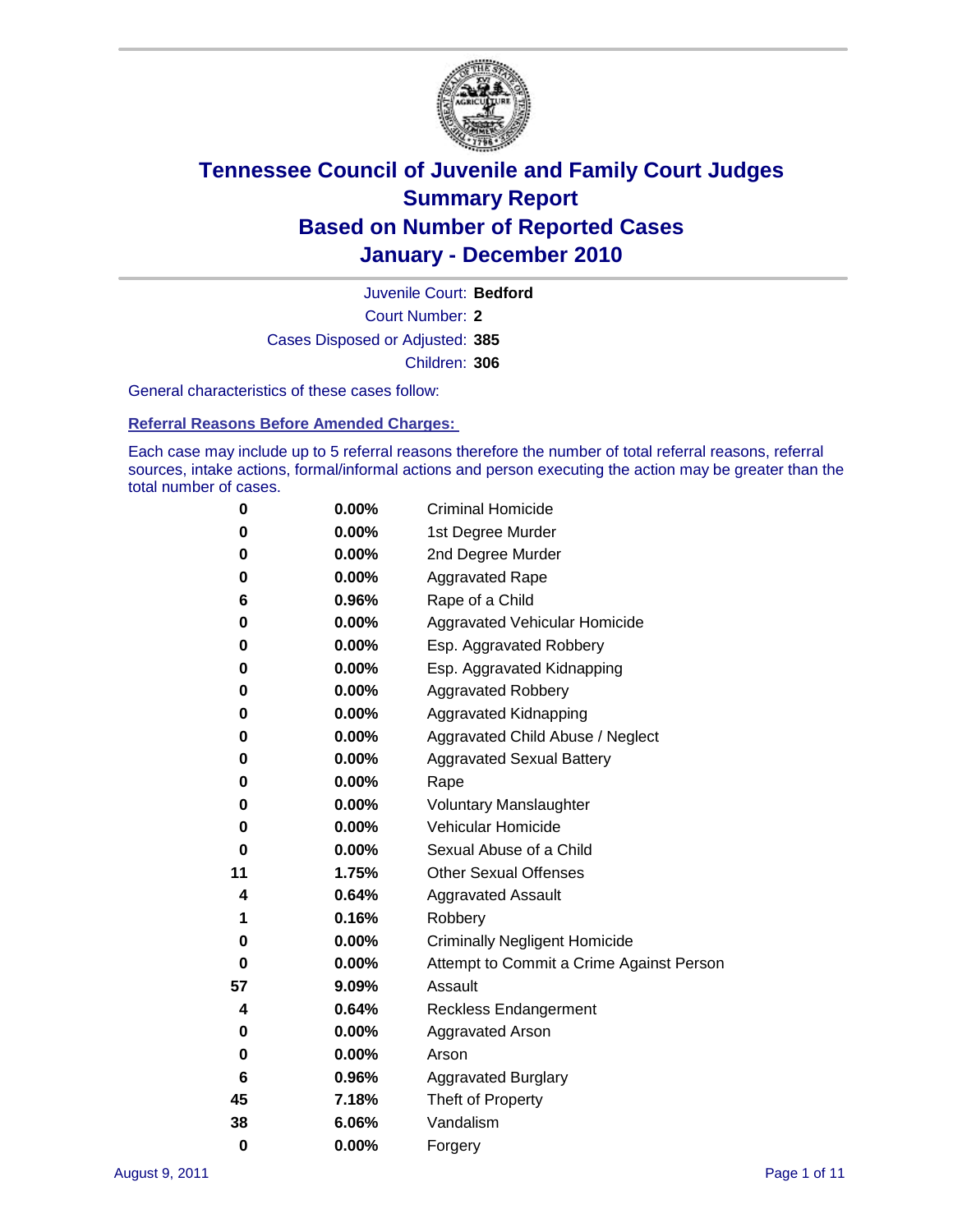

Court Number: **2** Juvenile Court: **Bedford** Cases Disposed or Adjusted: **385** Children: **306**

General characteristics of these cases follow:

**Referral Reasons Before Amended Charges:** 

Each case may include up to 5 referral reasons therefore the number of total referral reasons, referral sources, intake actions, formal/informal actions and person executing the action may be greater than the total number of cases.

| 0  | 0.00%    | <b>Criminal Homicide</b>                 |
|----|----------|------------------------------------------|
| 0  | 0.00%    | 1st Degree Murder                        |
| 0  | 0.00%    | 2nd Degree Murder                        |
| 0  | 0.00%    | <b>Aggravated Rape</b>                   |
| 6  | 0.96%    | Rape of a Child                          |
| 0  | 0.00%    | Aggravated Vehicular Homicide            |
| 0  | 0.00%    | Esp. Aggravated Robbery                  |
| 0  | 0.00%    | Esp. Aggravated Kidnapping               |
| 0  | 0.00%    | <b>Aggravated Robbery</b>                |
| 0  | 0.00%    | Aggravated Kidnapping                    |
| 0  | 0.00%    | Aggravated Child Abuse / Neglect         |
| 0  | $0.00\%$ | <b>Aggravated Sexual Battery</b>         |
| 0  | 0.00%    | Rape                                     |
| 0  | 0.00%    | <b>Voluntary Manslaughter</b>            |
| 0  | 0.00%    | Vehicular Homicide                       |
| 0  | 0.00%    | Sexual Abuse of a Child                  |
| 11 | 1.75%    | <b>Other Sexual Offenses</b>             |
| 4  | 0.64%    | <b>Aggravated Assault</b>                |
| 1  | 0.16%    | Robbery                                  |
| 0  | 0.00%    | <b>Criminally Negligent Homicide</b>     |
| 0  | 0.00%    | Attempt to Commit a Crime Against Person |
| 57 | 9.09%    | Assault                                  |
| 4  | 0.64%    | <b>Reckless Endangerment</b>             |
| 0  | 0.00%    | <b>Aggravated Arson</b>                  |
| 0  | 0.00%    | Arson                                    |
| 6  | 0.96%    | <b>Aggravated Burglary</b>               |
| 45 | 7.18%    | Theft of Property                        |
| 38 | 6.06%    | Vandalism                                |
| 0  | 0.00%    | Forgery                                  |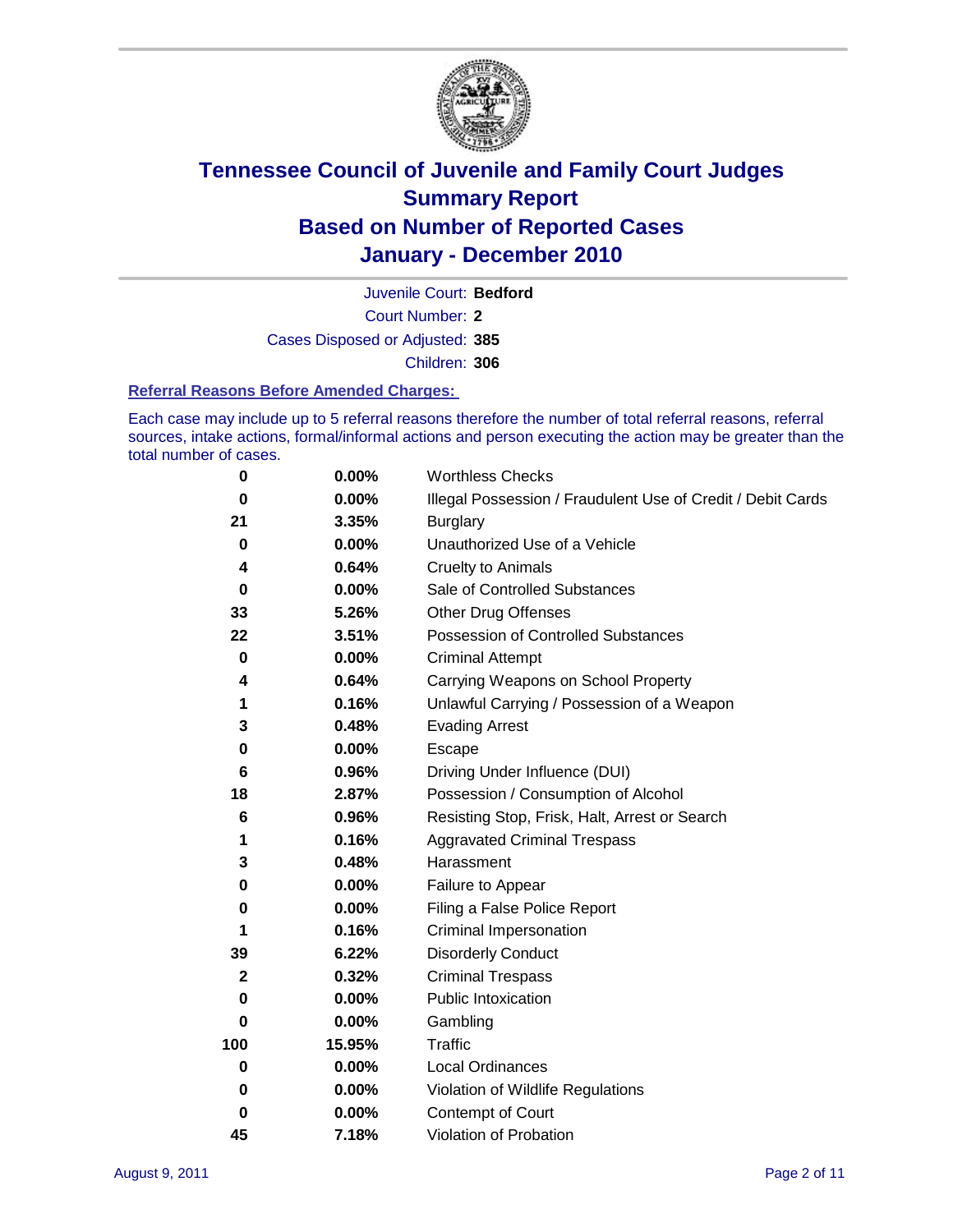

Court Number: **2** Juvenile Court: **Bedford** Cases Disposed or Adjusted: **385** Children: **306**

#### **Referral Reasons Before Amended Charges:**

Each case may include up to 5 referral reasons therefore the number of total referral reasons, referral sources, intake actions, formal/informal actions and person executing the action may be greater than the total number of cases.

| $\pmb{0}$    | 0.00%    | <b>Worthless Checks</b>                                     |
|--------------|----------|-------------------------------------------------------------|
| 0            | 0.00%    | Illegal Possession / Fraudulent Use of Credit / Debit Cards |
| 21           | 3.35%    | <b>Burglary</b>                                             |
| $\bf{0}$     | $0.00\%$ | Unauthorized Use of a Vehicle                               |
| 4            | 0.64%    | <b>Cruelty to Animals</b>                                   |
| $\bf{0}$     | $0.00\%$ | Sale of Controlled Substances                               |
| 33           | 5.26%    | <b>Other Drug Offenses</b>                                  |
| 22           | 3.51%    | Possession of Controlled Substances                         |
| $\mathbf 0$  | $0.00\%$ | <b>Criminal Attempt</b>                                     |
| 4            | 0.64%    | Carrying Weapons on School Property                         |
| 1            | 0.16%    | Unlawful Carrying / Possession of a Weapon                  |
| 3            | 0.48%    | <b>Evading Arrest</b>                                       |
| 0            | 0.00%    | Escape                                                      |
| 6            | 0.96%    | Driving Under Influence (DUI)                               |
| 18           | 2.87%    | Possession / Consumption of Alcohol                         |
| 6            | 0.96%    | Resisting Stop, Frisk, Halt, Arrest or Search               |
| 1            | 0.16%    | <b>Aggravated Criminal Trespass</b>                         |
| 3            | 0.48%    | Harassment                                                  |
| 0            | 0.00%    | Failure to Appear                                           |
| 0            | $0.00\%$ | Filing a False Police Report                                |
| 1            | 0.16%    | Criminal Impersonation                                      |
| 39           | 6.22%    | <b>Disorderly Conduct</b>                                   |
| $\mathbf{2}$ | 0.32%    | <b>Criminal Trespass</b>                                    |
| $\bf{0}$     | 0.00%    | Public Intoxication                                         |
| 0            | $0.00\%$ | Gambling                                                    |
| 100          | 15.95%   | <b>Traffic</b>                                              |
| 0            | $0.00\%$ | Local Ordinances                                            |
| 0            | $0.00\%$ | Violation of Wildlife Regulations                           |
| 0            | $0.00\%$ | Contempt of Court                                           |
| 45           | 7.18%    | Violation of Probation                                      |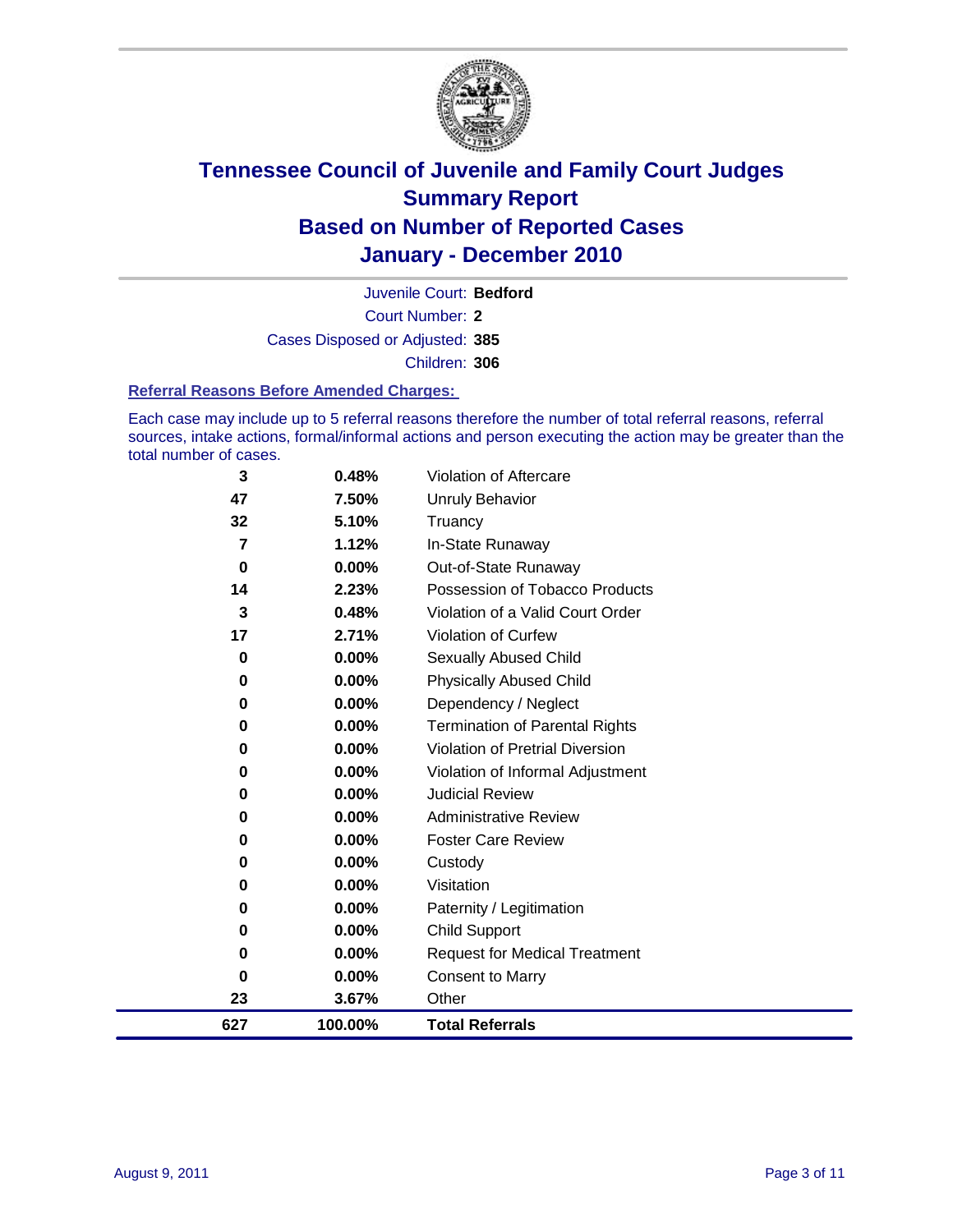

Court Number: **2** Juvenile Court: **Bedford** Cases Disposed or Adjusted: **385** Children: **306**

#### **Referral Reasons Before Amended Charges:**

Each case may include up to 5 referral reasons therefore the number of total referral reasons, referral sources, intake actions, formal/informal actions and person executing the action may be greater than the total number of cases.

| 627      | 100.00%        | <b>Total Referrals</b>                 |
|----------|----------------|----------------------------------------|
| 23       | 3.67%          | Other                                  |
| $\bf{0}$ | 0.00%          | <b>Consent to Marry</b>                |
| 0        | 0.00%          | <b>Request for Medical Treatment</b>   |
| 0        | 0.00%          | <b>Child Support</b>                   |
| 0        | 0.00%          | Paternity / Legitimation               |
| $\bf{0}$ | 0.00%          | Visitation                             |
| 0        | 0.00%          | Custody                                |
| 0        | $0.00\%$       | <b>Foster Care Review</b>              |
| 0        | 0.00%          | <b>Administrative Review</b>           |
| 0        | $0.00\%$       | <b>Judicial Review</b>                 |
| 0        | 0.00%          | Violation of Informal Adjustment       |
| $\bf{0}$ | 0.00%          | <b>Violation of Pretrial Diversion</b> |
| 0        | 0.00%          | <b>Termination of Parental Rights</b>  |
| 0        | 0.00%          | Dependency / Neglect                   |
| $\bf{0}$ | 0.00%          | <b>Physically Abused Child</b>         |
| 0        | 0.00%          | <b>Sexually Abused Child</b>           |
| 17       | 2.71%          | Violation of Curfew                    |
| 3        | 0.48%          | Violation of a Valid Court Order       |
| 14       | 2.23%          | Possession of Tobacco Products         |
| 0        | 0.00%          | Out-of-State Runaway                   |
| 7        | 1.12%          | Truancy<br>In-State Runaway            |
| 47<br>32 | 7.50%<br>5.10% | <b>Unruly Behavior</b>                 |
| 3        | 0.48%          | Violation of Aftercare                 |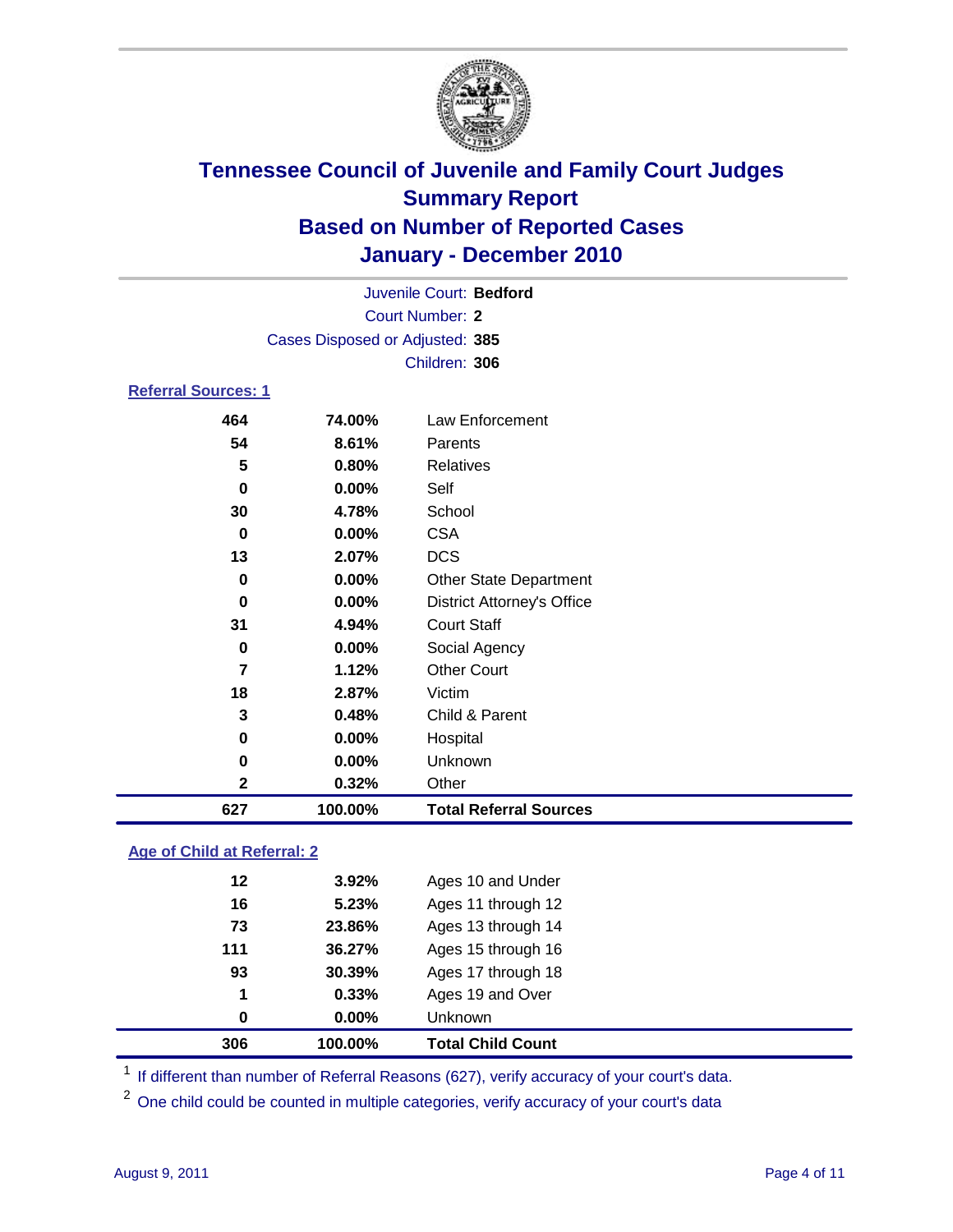

|                            |                                 |        | Juvenile Court: Bedford |  |  |  |
|----------------------------|---------------------------------|--------|-------------------------|--|--|--|
|                            | Court Number: 2                 |        |                         |  |  |  |
|                            | Cases Disposed or Adjusted: 385 |        |                         |  |  |  |
|                            |                                 |        | Children: 306           |  |  |  |
| <b>Referral Sources: 1</b> |                                 |        |                         |  |  |  |
|                            | 464                             | 74.00% | Law Enforcement         |  |  |  |
|                            | 54                              | 8.61%  | Parents                 |  |  |  |
|                            | 5                               | 0.80%  | <b>Relatives</b>        |  |  |  |
|                            | U                               | በ በበዐ/ | <b>ام ج</b>             |  |  |  |

| 627          | 100.00% | <b>Total Referral Sources</b>     |
|--------------|---------|-----------------------------------|
| $\mathbf{2}$ | 0.32%   | Other                             |
| 0            | 0.00%   | Unknown                           |
| 0            | 0.00%   | Hospital                          |
| 3            | 0.48%   | Child & Parent                    |
| 18           | 2.87%   | Victim                            |
| 7            | 1.12%   | <b>Other Court</b>                |
| 0            | 0.00%   | Social Agency                     |
| 31           | 4.94%   | <b>Court Staff</b>                |
| 0            | 0.00%   | <b>District Attorney's Office</b> |
| 0            | 0.00%   | <b>Other State Department</b>     |
| 13           | 2.07%   | <b>DCS</b>                        |
| 0            | 0.00%   | <b>CSA</b>                        |
| 30           | 4.78%   | School                            |
| 0            | 0.00%   | Self                              |

### **Age of Child at Referral: 2**

| 1<br>0 | 0.33%<br>0.00% | Ages 19 and Over<br>Unknown |  |
|--------|----------------|-----------------------------|--|
|        |                |                             |  |
|        |                |                             |  |
| 93     | 30.39%         | Ages 17 through 18          |  |
| 111    | 36.27%         | Ages 15 through 16          |  |
| 73     | 23.86%         | Ages 13 through 14          |  |
| 16     | 5.23%          | Ages 11 through 12          |  |
| 12     | 3.92%          | Ages 10 and Under           |  |
|        |                |                             |  |

<sup>1</sup> If different than number of Referral Reasons (627), verify accuracy of your court's data.

<sup>2</sup> One child could be counted in multiple categories, verify accuracy of your court's data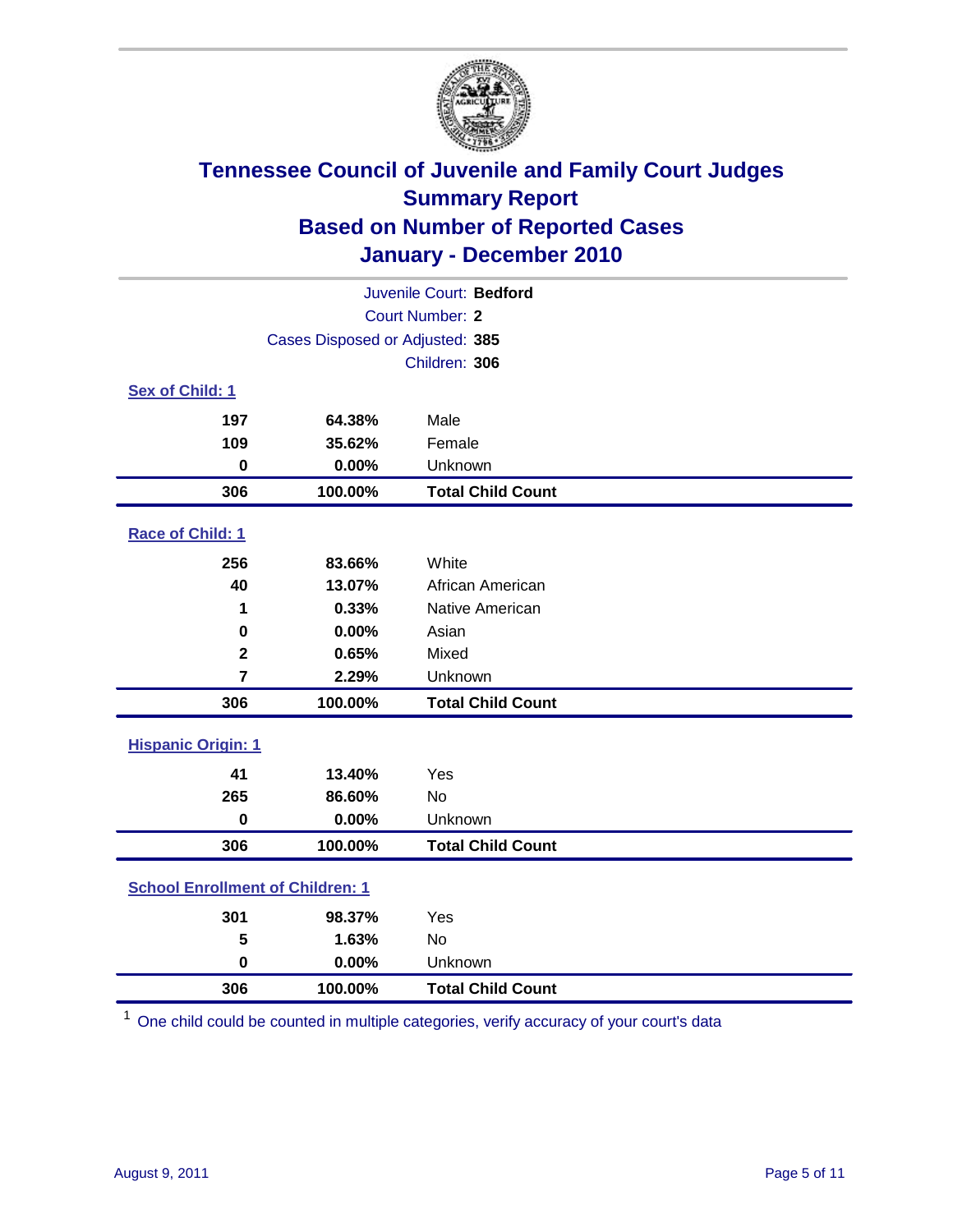

| Juvenile Court: Bedford                 |                                 |                          |  |  |
|-----------------------------------------|---------------------------------|--------------------------|--|--|
|                                         | <b>Court Number: 2</b>          |                          |  |  |
|                                         | Cases Disposed or Adjusted: 385 |                          |  |  |
|                                         |                                 | Children: 306            |  |  |
| Sex of Child: 1                         |                                 |                          |  |  |
| 197                                     | 64.38%                          | Male                     |  |  |
| 109                                     | 35.62%                          | Female                   |  |  |
| $\bf{0}$                                | 0.00%                           | Unknown                  |  |  |
| 306                                     | 100.00%                         | <b>Total Child Count</b> |  |  |
| Race of Child: 1                        |                                 |                          |  |  |
| 256                                     | 83.66%                          | White                    |  |  |
| 40                                      | 13.07%                          | African American         |  |  |
| 1                                       | 0.33%                           | Native American          |  |  |
| $\bf{0}$                                | 0.00%                           | Asian                    |  |  |
| $\overline{\mathbf{2}}$                 | 0.65%                           | Mixed                    |  |  |
| $\overline{7}$                          | 2.29%                           | Unknown                  |  |  |
| 306                                     | 100.00%                         | <b>Total Child Count</b> |  |  |
| <b>Hispanic Origin: 1</b>               |                                 |                          |  |  |
| 41                                      | 13.40%                          | Yes                      |  |  |
| 265                                     | 86.60%                          | No                       |  |  |
| $\mathbf 0$                             | 0.00%                           | Unknown                  |  |  |
| 306                                     | 100.00%                         | <b>Total Child Count</b> |  |  |
| <b>School Enrollment of Children: 1</b> |                                 |                          |  |  |
| 301                                     | 98.37%                          | Yes                      |  |  |
| 5                                       | 1.63%                           | No                       |  |  |
| $\mathbf 0$                             | 0.00%                           | Unknown                  |  |  |
| 306                                     | 100.00%                         | <b>Total Child Count</b> |  |  |

One child could be counted in multiple categories, verify accuracy of your court's data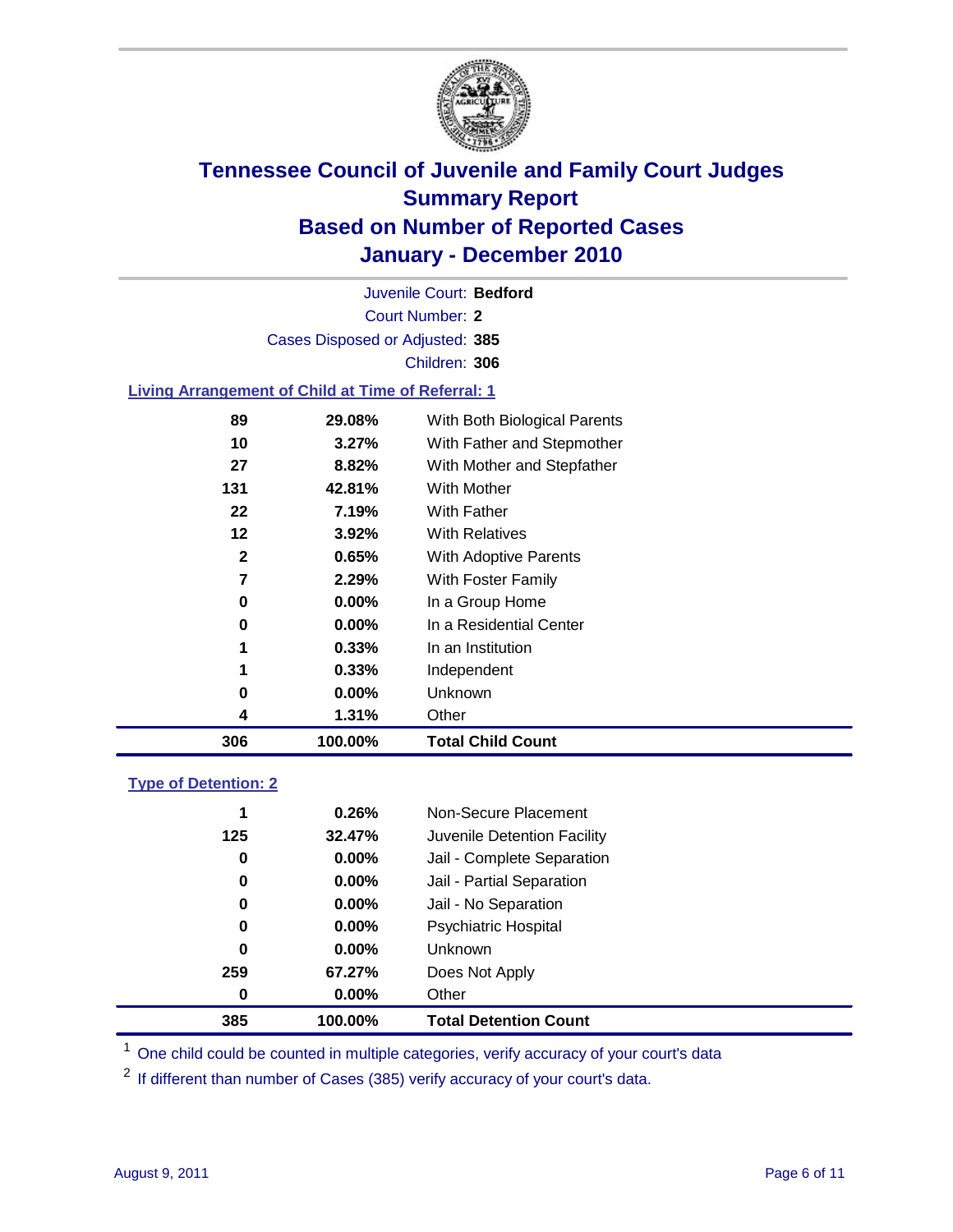

Court Number: **2** Juvenile Court: **Bedford** Cases Disposed or Adjusted: **385** Children: **306**

#### **Living Arrangement of Child at Time of Referral: 1**

| 306     | 100.00%  | <b>Total Child Count</b>     |
|---------|----------|------------------------------|
| 4       | 1.31%    | Other                        |
| 0       | 0.00%    | Unknown                      |
| 1       | 0.33%    | Independent                  |
| 1       | 0.33%    | In an Institution            |
| 0       | $0.00\%$ | In a Residential Center      |
| 0       | 0.00%    | In a Group Home              |
| 7       | 2.29%    | With Foster Family           |
| 2       | 0.65%    | <b>With Adoptive Parents</b> |
| $12 \,$ | 3.92%    | <b>With Relatives</b>        |
| 22      | 7.19%    | With Father                  |
| 131     | 42.81%   | With Mother                  |
| 27      | 8.82%    | With Mother and Stepfather   |
| 10      | $3.27\%$ | With Father and Stepmother   |
| 89      | 29.08%   | With Both Biological Parents |

#### **Type of Detention: 2**

| 385 | 100.00%  | <b>Total Detention Count</b> |  |
|-----|----------|------------------------------|--|
| 0   | 0.00%    | Other                        |  |
| 259 | 67.27%   | Does Not Apply               |  |
| 0   | $0.00\%$ | Unknown                      |  |
| 0   | $0.00\%$ | Psychiatric Hospital         |  |
| 0   | 0.00%    | Jail - No Separation         |  |
| 0   | $0.00\%$ | Jail - Partial Separation    |  |
| 0   | $0.00\%$ | Jail - Complete Separation   |  |
| 125 | 32.47%   | Juvenile Detention Facility  |  |
| 1   | 0.26%    | Non-Secure Placement         |  |
|     |          |                              |  |

<sup>1</sup> One child could be counted in multiple categories, verify accuracy of your court's data

<sup>2</sup> If different than number of Cases (385) verify accuracy of your court's data.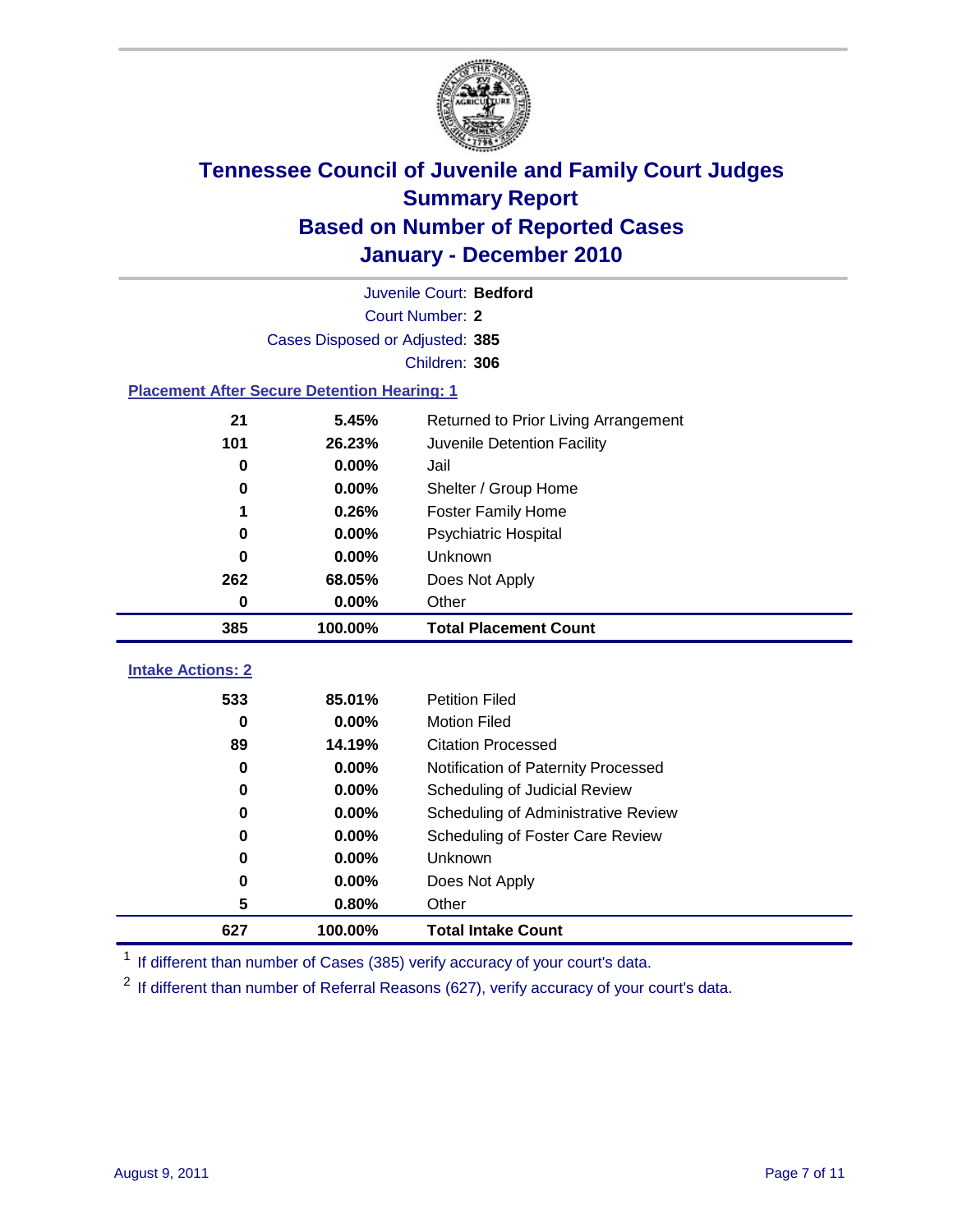

|                                                    | Juvenile Court: Bedford         |                                      |  |  |
|----------------------------------------------------|---------------------------------|--------------------------------------|--|--|
|                                                    | Court Number: 2                 |                                      |  |  |
|                                                    | Cases Disposed or Adjusted: 385 |                                      |  |  |
|                                                    |                                 | Children: 306                        |  |  |
| <b>Placement After Secure Detention Hearing: 1</b> |                                 |                                      |  |  |
| 21                                                 | 5.45%                           | Returned to Prior Living Arrangement |  |  |
| 101                                                | 26.23%                          | Juvenile Detention Facility          |  |  |
| 0                                                  | 0.00%                           | Jail                                 |  |  |
| $\bf{0}$                                           | 0.00%                           | Shelter / Group Home                 |  |  |
| 1                                                  | 0.26%                           | <b>Foster Family Home</b>            |  |  |
| 0                                                  | 0.00%                           | <b>Psychiatric Hospital</b>          |  |  |
| 0                                                  | 0.00%                           | Unknown                              |  |  |
| 262                                                | 68.05%                          | Does Not Apply                       |  |  |
| 0                                                  | 0.00%                           | Other                                |  |  |
| 385                                                | 100.00%                         | <b>Total Placement Count</b>         |  |  |
| <b>Intake Actions: 2</b>                           |                                 |                                      |  |  |
| 533                                                | 85.01%                          | <b>Petition Filed</b>                |  |  |
| $\bf{0}$                                           | 0.00%                           | <b>Motion Filed</b>                  |  |  |
| 89                                                 | 14.19%                          | <b>Citation Processed</b>            |  |  |
| 0                                                  | 0.00%                           | Notification of Paternity Processed  |  |  |
| $\mathbf 0$                                        | 0.00%                           | Scheduling of Judicial Review        |  |  |
| 0                                                  | 0.00%                           | Scheduling of Administrative Review  |  |  |
| 0                                                  | 0.00%                           | Scheduling of Foster Care Review     |  |  |
| $\bf{0}$                                           | 0.00%                           | Unknown                              |  |  |
| 0                                                  | 0.00%                           | Does Not Apply                       |  |  |
| 5                                                  | 0.80%                           | Other                                |  |  |
| 627                                                | 100.00%                         | <b>Total Intake Count</b>            |  |  |

<sup>1</sup> If different than number of Cases (385) verify accuracy of your court's data.

<sup>2</sup> If different than number of Referral Reasons (627), verify accuracy of your court's data.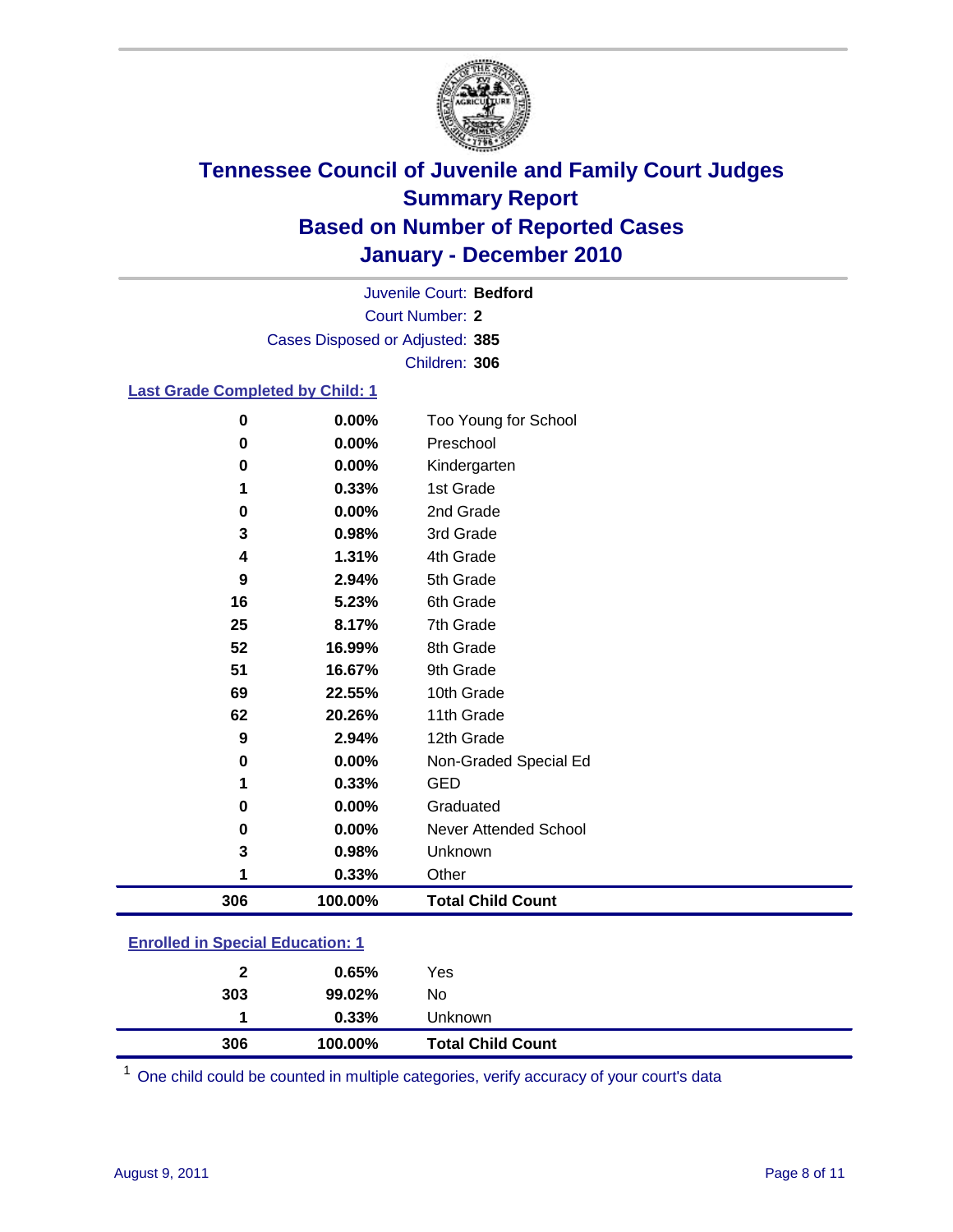

Court Number: **2** Juvenile Court: **Bedford** Cases Disposed or Adjusted: **385** Children: **306**

### **Last Grade Completed by Child: 1**

| 100.00% | <b>Total Child Count</b>         |                                                     |
|---------|----------------------------------|-----------------------------------------------------|
| 0.33%   | Other                            |                                                     |
| 0.98%   | Unknown                          |                                                     |
| 0.00%   | Never Attended School            |                                                     |
| 0.00%   | Graduated                        |                                                     |
| 0.33%   | <b>GED</b>                       |                                                     |
| 0.00%   | Non-Graded Special Ed            |                                                     |
| 2.94%   | 12th Grade                       |                                                     |
| 20.26%  | 11th Grade                       |                                                     |
| 22.55%  | 10th Grade                       |                                                     |
| 16.67%  | 9th Grade                        |                                                     |
| 16.99%  | 8th Grade                        |                                                     |
| 8.17%   | 7th Grade                        |                                                     |
| 5.23%   | 6th Grade                        |                                                     |
| 2.94%   | 5th Grade                        |                                                     |
| 1.31%   | 4th Grade                        |                                                     |
| 0.98%   | 3rd Grade                        |                                                     |
| 0.00%   |                                  |                                                     |
|         |                                  |                                                     |
|         |                                  |                                                     |
|         | Too Young for School             |                                                     |
|         | 0.00%<br>0.00%<br>0.00%<br>0.33% | Preschool<br>Kindergarten<br>1st Grade<br>2nd Grade |

### **Enrolled in Special Education: 1**

| 306          | 100.00%  | <b>Total Child Count</b> |
|--------------|----------|--------------------------|
|              | $0.33\%$ | <b>Unknown</b>           |
| 303          | 99.02%   | No                       |
| $\mathbf{2}$ | 0.65%    | Yes                      |
|              |          |                          |

One child could be counted in multiple categories, verify accuracy of your court's data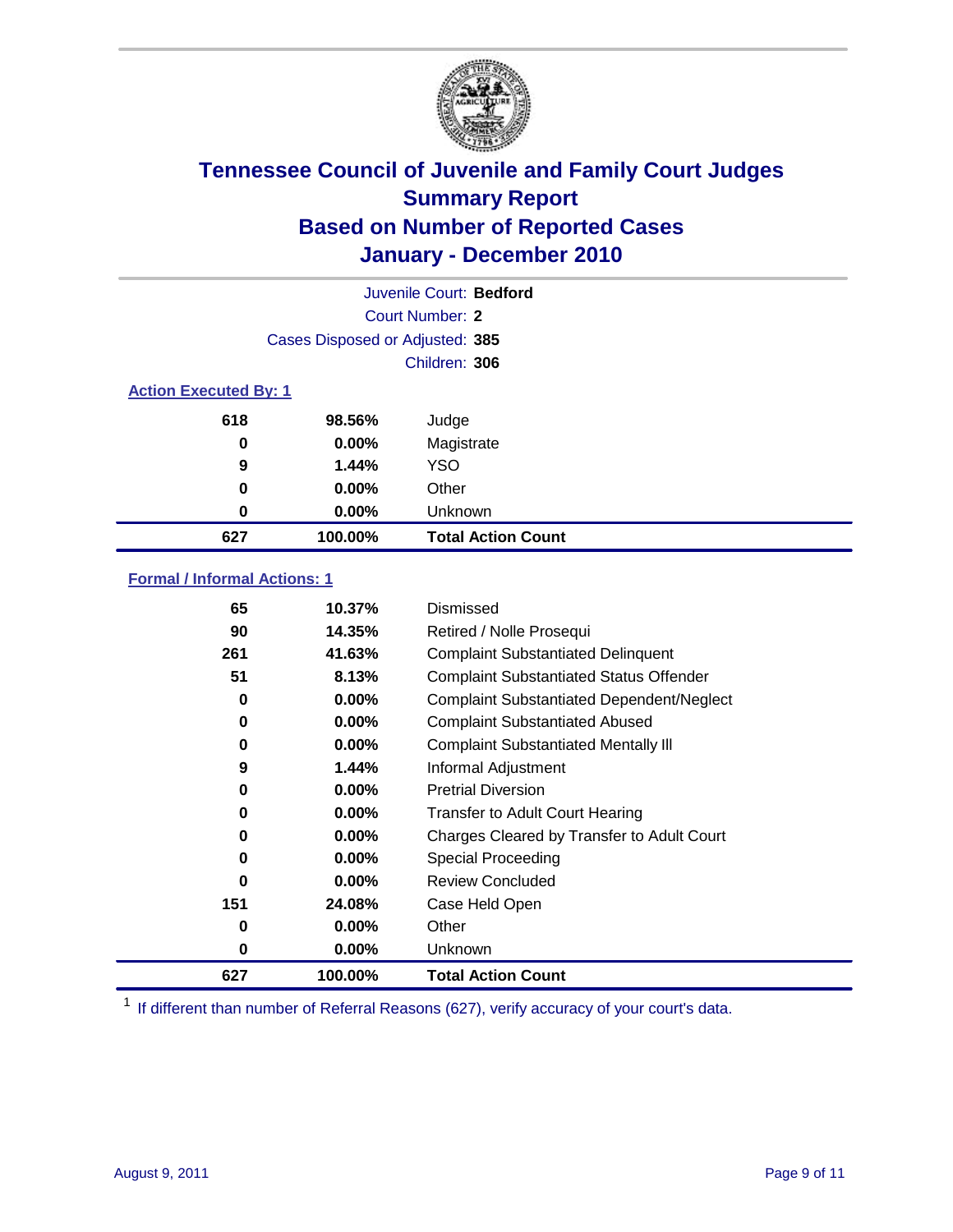

|                              |                                 | Juvenile Court: Bedford   |
|------------------------------|---------------------------------|---------------------------|
|                              |                                 | Court Number: 2           |
|                              | Cases Disposed or Adjusted: 385 |                           |
|                              |                                 | Children: 306             |
| <b>Action Executed By: 1</b> |                                 |                           |
| 618                          | 98.56%                          | Judge                     |
| 0                            | $0.00\%$                        | Magistrate                |
| 9                            | 1.44%                           | <b>YSO</b>                |
| 0                            | $0.00\%$                        | Other                     |
| 0                            | 0.00%                           | Unknown                   |
| 627                          | 100.00%                         | <b>Total Action Count</b> |

### **Formal / Informal Actions: 1**

| 65       | 10.37%   | Dismissed                                        |
|----------|----------|--------------------------------------------------|
| 90       | 14.35%   | Retired / Nolle Prosequi                         |
| 261      | 41.63%   | <b>Complaint Substantiated Delinquent</b>        |
| 51       | 8.13%    | <b>Complaint Substantiated Status Offender</b>   |
| 0        | 0.00%    | <b>Complaint Substantiated Dependent/Neglect</b> |
| 0        | $0.00\%$ | <b>Complaint Substantiated Abused</b>            |
| 0        | 0.00%    | <b>Complaint Substantiated Mentally III</b>      |
| 9        | 1.44%    | Informal Adjustment                              |
| 0        | $0.00\%$ | <b>Pretrial Diversion</b>                        |
| 0        | $0.00\%$ | <b>Transfer to Adult Court Hearing</b>           |
| 0        | $0.00\%$ | Charges Cleared by Transfer to Adult Court       |
| 0        | 0.00%    | Special Proceeding                               |
| $\Omega$ | $0.00\%$ | <b>Review Concluded</b>                          |
| 151      | 24.08%   | Case Held Open                                   |
| 0        | $0.00\%$ | Other                                            |
| 0        | $0.00\%$ | <b>Unknown</b>                                   |
| 627      | 100.00%  | <b>Total Action Count</b>                        |

<sup>1</sup> If different than number of Referral Reasons (627), verify accuracy of your court's data.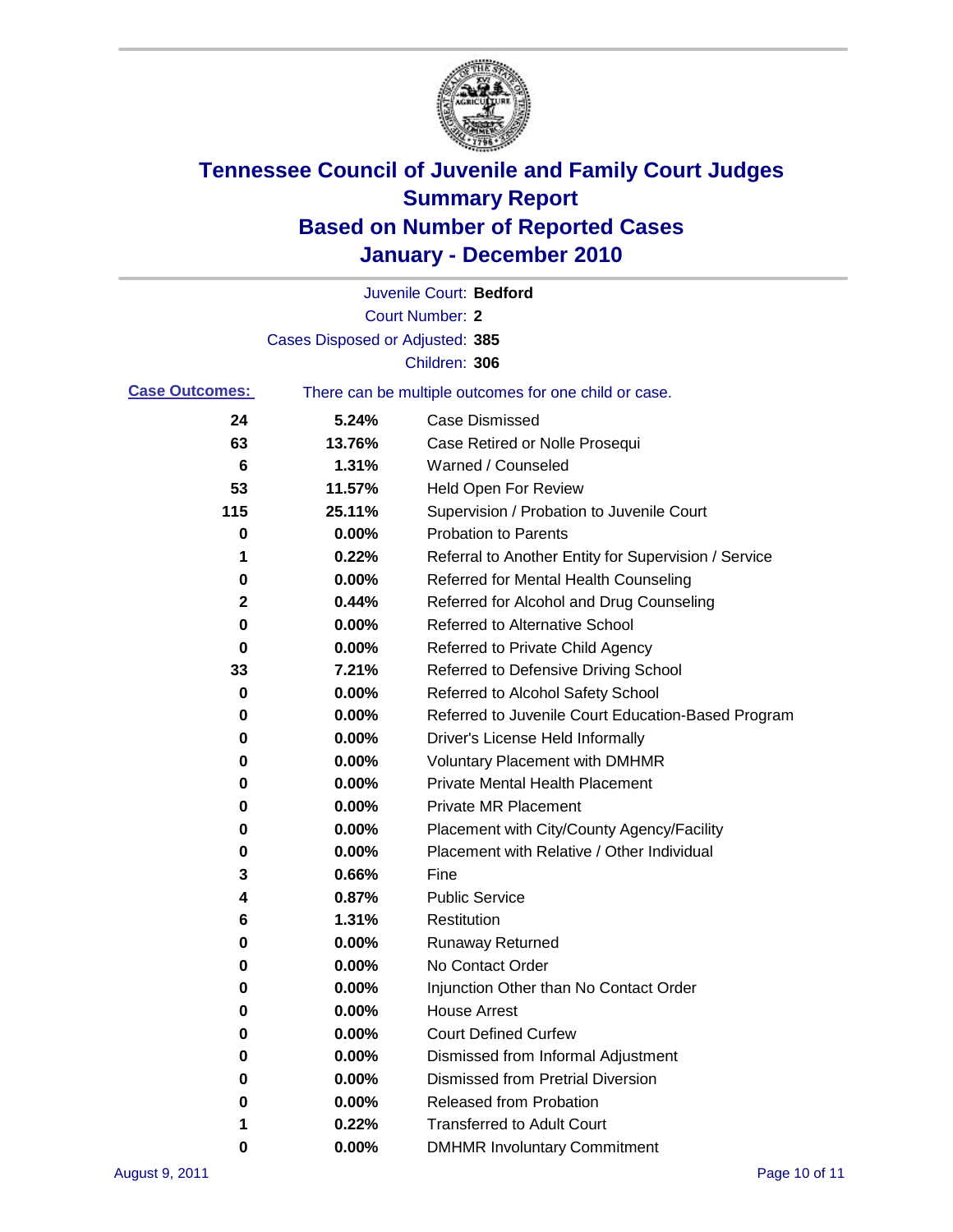

|                       |                                 | Juvenile Court: Bedford                               |
|-----------------------|---------------------------------|-------------------------------------------------------|
|                       |                                 | <b>Court Number: 2</b>                                |
|                       | Cases Disposed or Adjusted: 385 |                                                       |
|                       |                                 | Children: 306                                         |
| <b>Case Outcomes:</b> |                                 | There can be multiple outcomes for one child or case. |
| 24                    | 5.24%                           | <b>Case Dismissed</b>                                 |
| 63                    | 13.76%                          | Case Retired or Nolle Prosequi                        |
| 6                     | 1.31%                           | Warned / Counseled                                    |
| 53                    | 11.57%                          | <b>Held Open For Review</b>                           |
| 115                   | 25.11%                          | Supervision / Probation to Juvenile Court             |
| 0                     | 0.00%                           | <b>Probation to Parents</b>                           |
| 1                     | 0.22%                           | Referral to Another Entity for Supervision / Service  |
| 0                     | 0.00%                           | Referred for Mental Health Counseling                 |
| $\mathbf 2$           | 0.44%                           | Referred for Alcohol and Drug Counseling              |
| 0                     | 0.00%                           | <b>Referred to Alternative School</b>                 |
| 0                     | 0.00%                           | Referred to Private Child Agency                      |
| 33                    | 7.21%                           | Referred to Defensive Driving School                  |
| 0                     | 0.00%                           | Referred to Alcohol Safety School                     |
| 0                     | 0.00%                           | Referred to Juvenile Court Education-Based Program    |
| 0                     | 0.00%                           | Driver's License Held Informally                      |
| 0                     | 0.00%                           | <b>Voluntary Placement with DMHMR</b>                 |
| 0                     | 0.00%                           | <b>Private Mental Health Placement</b>                |
| 0                     | 0.00%                           | <b>Private MR Placement</b>                           |
| 0                     | 0.00%                           | Placement with City/County Agency/Facility            |
| 0                     | 0.00%                           | Placement with Relative / Other Individual            |
| 3                     | 0.66%                           | Fine                                                  |
| 4                     | 0.87%                           | <b>Public Service</b>                                 |
| 6                     | 1.31%                           | Restitution                                           |
| 0                     | 0.00%                           | <b>Runaway Returned</b>                               |
| 0                     | 0.00%                           | No Contact Order                                      |
| 0                     | 0.00%                           | Injunction Other than No Contact Order                |
| 0                     | 0.00%                           | <b>House Arrest</b>                                   |
| 0                     | 0.00%                           | <b>Court Defined Curfew</b>                           |
| 0                     | 0.00%                           | Dismissed from Informal Adjustment                    |
| 0                     | 0.00%                           | <b>Dismissed from Pretrial Diversion</b>              |
| 0                     | 0.00%                           | Released from Probation                               |
| 1                     | 0.22%                           | <b>Transferred to Adult Court</b>                     |
| 0                     | $0.00\%$                        | <b>DMHMR Involuntary Commitment</b>                   |